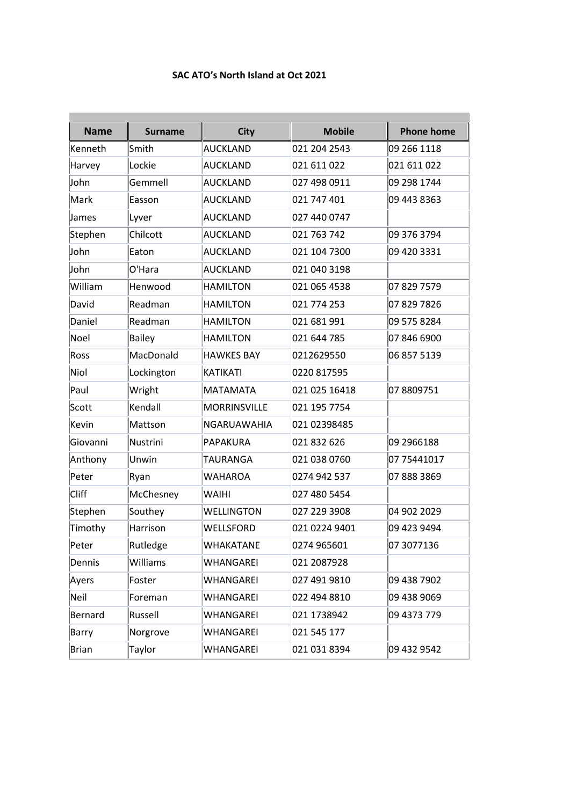## **SAC ATO's North Island at Oct 2021**

| <b>Name</b>  | <b>Surname</b> | <b>City</b>       | <b>Mobile</b> | <b>Phone home</b> |
|--------------|----------------|-------------------|---------------|-------------------|
| Kenneth      | Smith          | <b>AUCKLAND</b>   | 021 204 2543  | 09 266 1118       |
| Harvey       | Lockie         | <b>AUCKLAND</b>   | 021 611 022   | 021 611 022       |
| John         | Gemmell        | AUCKLAND          | 027 498 0911  | 09 298 1744       |
| Mark         | Easson         | AUCKLAND          | 021 747 401   | 09 443 8363       |
| James        | Lyver          | <b>AUCKLAND</b>   | 027 440 0747  |                   |
| Stephen      | Chilcott       | <b>AUCKLAND</b>   | 021 763 742   | 09 376 3794       |
| John         | Eaton          | <b>AUCKLAND</b>   | 021 104 7300  | 09 420 3331       |
| John         | O'Hara         | <b>AUCKLAND</b>   | 021 040 3198  |                   |
| William      | Henwood        | <b>HAMILTON</b>   | 021 065 4538  | 07 829 7579       |
| David        | Readman        | <b>HAMILTON</b>   | 021 774 253   | 07 829 7826       |
| Daniel       | Readman        | <b>HAMILTON</b>   | 021 681 991   | 09 575 8284       |
| Noel         | <b>Bailey</b>  | <b>HAMILTON</b>   | 021 644 785   | 07 846 6900       |
| Ross         | MacDonald      | <b>HAWKES BAY</b> | 0212629550    | 06 857 5139       |
| Niol         | Lockington     | KATIKATI          | 0220 817595   |                   |
| Paul         | Wright         | MATAMATA          | 021 025 16418 | 078809751         |
| Scott        | Kendall        | MORRINSVILLE      | 021 195 7754  |                   |
| Kevin        | Mattson        | NGARUAWAHIA       | 021 02398485  |                   |
| Giovanni     | Nustrini       | PAPAKURA          | 021 832 626   | 09 2966188        |
| Anthony      | Unwin          | TAURANGA          | 021 038 0760  | 07 75441017       |
| Peter        | Ryan           | WAHAROA           | 0274 942 537  | 078883869         |
| Cliff        | McChesney      | <b>WAIHI</b>      | 027 480 5454  |                   |
| Stephen      | Southey        | WELLINGTON        | 027 229 3908  | 04 902 2029       |
| Timothy      | Harrison       | WELLSFORD         | 021 0224 9401 | 09 423 9494       |
| Peter        | Rutledge       | WHAKATANE         | 0274 965601   | 07 3077136        |
| Dennis       | Williams       | WHANGAREI         | 021 2087928   |                   |
| Ayers        | Foster         | WHANGAREI         | 027 491 9810  | 09 438 7902       |
| Neil         | Foreman        | WHANGAREI         | 022 494 8810  | 09 438 9069       |
| Bernard      | Russell        | WHANGAREI         | 021 1738942   | 09 4373 779       |
| Barry        | Norgrove       | WHANGAREI         | 021 545 177   |                   |
| <b>Brian</b> | Taylor         | WHANGAREI         | 021 031 8394  | 09 432 9542       |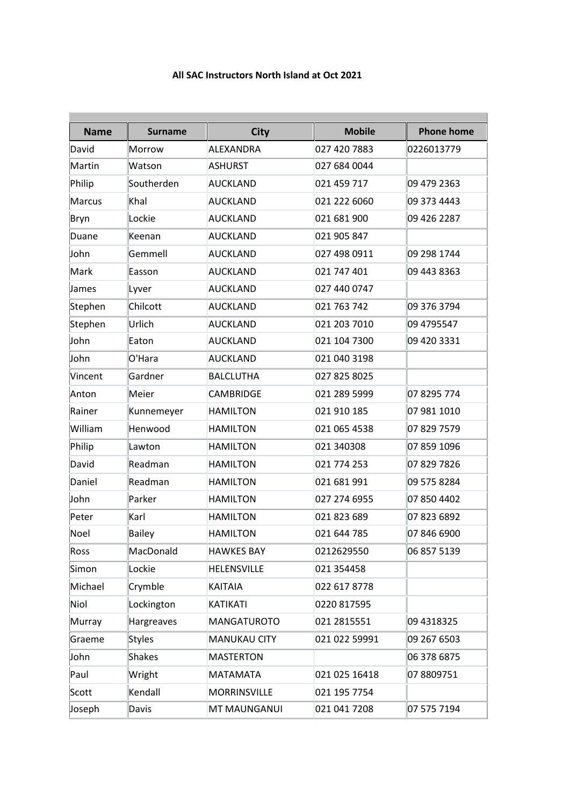## **All SAC Instructors North Island at Oct 2021**

| <b>Name</b>   | <b>Surname</b> | <b>City</b>         | <b>Mobile</b> | <b>Phone home</b> |
|---------------|----------------|---------------------|---------------|-------------------|
| David         | Morrow         | <b>ALEXANDRA</b>    | 027 420 7883  | 0226013779        |
| Martin        | Watson         | <b>ASHURST</b>      | 027 684 0044  |                   |
| Philip        | Southerden     | AUCKLAND            | 021 459 717   | 09 479 2363       |
| <b>Marcus</b> | Khal           | <b>AUCKLAND</b>     | 021 222 6060  | 09 373 4443       |
| Bryn          | Lockie         | <b>AUCKLAND</b>     | 021 681 900   | 09 426 2287       |
| Duane         | Keenan         | <b>AUCKLAND</b>     | 021 905 847   |                   |
| John          | Gemmell        | <b>AUCKLAND</b>     | 027 498 0911  | 09 298 1744       |
| Mark          | Easson         | <b>AUCKLAND</b>     | 021 747 401   | 09 443 8363       |
| James         | Lyver          | <b>AUCKLAND</b>     | 027 440 0747  |                   |
| Stephen       | Chilcott       | <b>AUCKLAND</b>     | 021 763 742   | 09 376 3794       |
| Stephen       | Urlich         | <b>AUCKLAND</b>     | 021 203 7010  | 09 4795547        |
| John          | Eaton          | <b>AUCKLAND</b>     | 021 104 7300  | 09 420 3331       |
| John          | O'Hara         | <b>AUCKLAND</b>     | 021 040 3198  |                   |
| Vincent       | Gardner        | <b>BALCLUTHA</b>    | 027 825 8025  |                   |
| Anton         | Meier          | <b>CAMBRIDGE</b>    | 021 289 5999  | 07 8295 774       |
| Rainer        | Kunnemeyer     | <b>HAMILTON</b>     | 021 910 185   | 07 981 1010       |
| William       | Henwood        | <b>HAMILTON</b>     | 021 065 4538  | 07 829 7579       |
| Philip        | Lawton         | <b>HAMILTON</b>     | 021 340308    | 07 859 1096       |
| David         | Readman        | <b>HAMILTON</b>     | 021 774 253   | 07 829 7826       |
| Daniel        | Readman        | <b>HAMILTON</b>     | 021 681 991   | 09 575 8284       |
| John          | Parker         | <b>HAMILTON</b>     | 027 274 6955  | 07 850 4402       |
| Peter         | Karl           | <b>HAMILTON</b>     | 021 823 689   | 078236892         |
| Noel          | Bailey         | <b>HAMILTON</b>     | 021 644 785   | 07 846 6900       |
| Ross          | MacDonald      | <b>HAWKES BAY</b>   | 0212629550    | 06 857 5139       |
| Simon         | Lockie         | <b>HELENSVILLE</b>  | 021 354458    |                   |
| Michael       | Crymble        | <b>KAITAIA</b>      | 022 617 8778  |                   |
| Niol          | Lockington     | <b>KATIKATI</b>     | 0220 817595   |                   |
| Murray        | Hargreaves     | <b>MANGATUROTO</b>  | 021 2815551   | 09 4318325        |
| Graeme        | Styles         | <b>MANUKAU CITY</b> | 021 022 59991 | 09 267 6503       |
| John          | <b>Shakes</b>  | <b>MASTERTON</b>    |               | 06 378 6875       |
| Paul          | Wright         | <b>MATAMATA</b>     | 021 025 16418 | 078809751         |
| Scott         | Kendall        | <b>MORRINSVILLE</b> | 021 195 7754  |                   |
| Joseph        | Davis          | MT MAUNGANUI        | 021 041 7208  | 07 575 7194       |